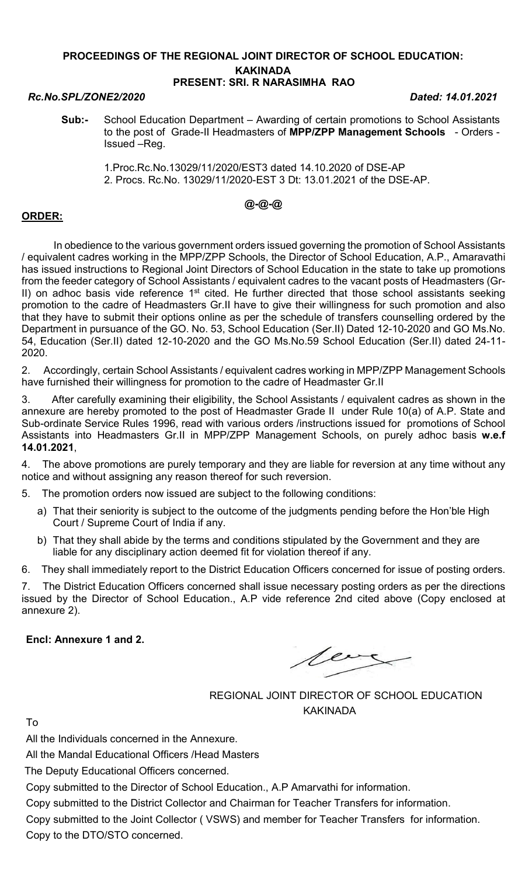#### PROCEEDINGS OF THE REGIONAL JOINT DIRECTOR OF SCHOOL EDUCATION: KAKINADA PRESENT: SRI. R NARASIMHA RAO

#### Rc.No.SPL/ZONE2/2020 Dated: 14.01.2021

- Sub:- School Education Department Awarding of certain promotions to School Assistants to the post of Grade-II Headmasters of MPP/ZPP Management Schools - Orders -Issued –Reg.
	- 1.Proc.Rc.No.13029/11/2020/EST3 dated 14.10.2020 of DSE-AP 2. Procs. Rc.No. 13029/11/2020-EST 3 Dt: 13.01.2021 of the DSE-AP.

# @-@-@

### ORDER:

 In obedience to the various government orders issued governing the promotion of School Assistants / equivalent cadres working in the MPP/ZPP Schools, the Director of School Education, A.P., Amaravathi has issued instructions to Regional Joint Directors of School Education in the state to take up promotions from the feeder category of School Assistants / equivalent cadres to the vacant posts of Headmasters (Gr-II) on adhoc basis vide reference 1<sup>st</sup> cited. He further directed that those school assistants seeking promotion to the cadre of Headmasters Gr.II have to give their willingness for such promotion and also that they have to submit their options online as per the schedule of transfers counselling ordered by the Department in pursuance of the GO. No. 53, School Education (Ser.II) Dated 12-10-2020 and GO Ms.No. 54, Education (Ser.II) dated 12-10-2020 and the GO Ms.No.59 School Education (Ser.II) dated 24-11- 2020.

2. Accordingly, certain School Assistants / equivalent cadres working in MPP/ZPP Management Schools have furnished their willingness for promotion to the cadre of Headmaster Gr.II

3. After carefully examining their eligibility, the School Assistants / equivalent cadres as shown in the annexure are hereby promoted to the post of Headmaster Grade II under Rule 10(a) of A.P. State and Sub-ordinate Service Rules 1996, read with various orders /instructions issued for promotions of School Assistants into Headmasters Gr.II in MPP/ZPP Management Schools, on purely adhoc basis w.e.f 14.01.2021,

4. The above promotions are purely temporary and they are liable for reversion at any time without any notice and without assigning any reason thereof for such reversion.

5. The promotion orders now issued are subject to the following conditions:

- a) That their seniority is subject to the outcome of the judgments pending before the Hon'ble High Court / Supreme Court of India if any.
- b) That they shall abide by the terms and conditions stipulated by the Government and they are liable for any disciplinary action deemed fit for violation thereof if any.

6. They shall immediately report to the District Education Officers concerned for issue of posting orders.

7. The District Education Officers concerned shall issue necessary posting orders as per the directions issued by the Director of School Education., A.P vide reference 2nd cited above (Copy enclosed at annexure 2).

Encl: Annexure 1 and 2.

leag

REGIONAL JOINT DIRECTOR OF SCHOOL EDUCATION KAKINADA

To

All the Individuals concerned in the Annexure.

All the Mandal Educational Officers /Head Masters

The Deputy Educational Officers concerned.

Copy submitted to the Director of School Education., A.P Amarvathi for information.

Copy submitted to the District Collector and Chairman for Teacher Transfers for information.

Copy submitted to the Joint Collector ( VSWS) and member for Teacher Transfers for information. Copy to the DTO/STO concerned.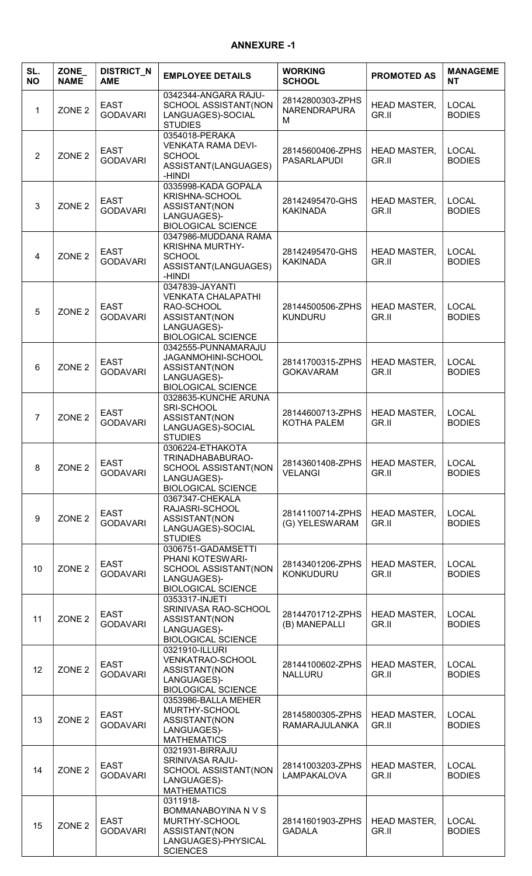# ANNEXURE -1

| SL.<br><b>NO</b> | ZONE_<br><b>NAME</b> | <b>DISTRICT_N</b><br><b>AME</b> | <b>EMPLOYEE DETAILS</b>                                                                                                 | <b>WORKING</b><br><b>SCHOOL</b>              | <b>PROMOTED AS</b>           | <b>MANAGEME</b><br><b>NT</b>  |
|------------------|----------------------|---------------------------------|-------------------------------------------------------------------------------------------------------------------------|----------------------------------------------|------------------------------|-------------------------------|
| $\mathbf 1$      | ZONE <sub>2</sub>    | <b>EAST</b><br><b>GODAVARI</b>  | 0342344-ANGARA RAJU-<br>SCHOOL ASSISTANT(NON<br>LANGUAGES)-SOCIAL<br><b>STUDIES</b>                                     | 28142800303-ZPHS<br><b>NARENDRAPURA</b><br>M | <b>HEAD MASTER,</b><br>GR.II | <b>LOCAL</b><br><b>BODIES</b> |
| $\overline{2}$   | ZONE <sub>2</sub>    | <b>EAST</b><br><b>GODAVARI</b>  | 0354018-PERAKA<br><b>VENKATA RAMA DEVI-</b><br><b>SCHOOL</b><br>ASSISTANT(LANGUAGES)<br>-HINDI                          | 28145600406-ZPHS<br><b>PASARLAPUDI</b>       | <b>HEAD MASTER,</b><br>GR.II | <b>LOCAL</b><br><b>BODIES</b> |
| 3                | ZONE <sub>2</sub>    | <b>EAST</b><br><b>GODAVARI</b>  | 0335998-KADA GOPALA<br>KRISHNA-SCHOOL<br>ASSISTANT(NON<br>LANGUAGES)-<br><b>BIOLOGICAL SCIENCE</b>                      | 28142495470-GHS<br><b>KAKINADA</b>           | <b>HEAD MASTER,</b><br>GR.II | <b>LOCAL</b><br><b>BODIES</b> |
| 4                | ZONE <sub>2</sub>    | <b>EAST</b><br><b>GODAVARI</b>  | 0347986-MUDDANA RAMA<br><b>KRISHNA MURTHY-</b><br><b>SCHOOL</b><br>ASSISTANT(LANGUAGES)<br>-HINDI                       | 28142495470-GHS<br><b>KAKINADA</b>           | <b>HEAD MASTER,</b><br>GR.II | <b>LOCAL</b><br><b>BODIES</b> |
| 5                | ZONE <sub>2</sub>    | <b>EAST</b><br><b>GODAVARI</b>  | 0347839-JAYANTI<br><b>VENKATA CHALAPATHI</b><br>RAO-SCHOOL<br>ASSISTANT(NON<br>LANGUAGES)-<br><b>BIOLOGICAL SCIENCE</b> | 28144500506-ZPHS<br><b>KUNDURU</b>           | <b>HEAD MASTER,</b><br>GR.II | <b>LOCAL</b><br><b>BODIES</b> |
| 6                | ZONE <sub>2</sub>    | <b>EAST</b><br><b>GODAVARI</b>  | 0342555-PUNNAMARAJU<br>JAGANMOHINI-SCHOOL<br>ASSISTANT(NON<br>LANGUAGES)-<br><b>BIOLOGICAL SCIENCE</b>                  | 28141700315-ZPHS<br><b>GOKAVARAM</b>         | <b>HEAD MASTER,</b><br>GR.II | <b>LOCAL</b><br><b>BODIES</b> |
| $\overline{7}$   | ZONE <sub>2</sub>    | <b>EAST</b><br><b>GODAVARI</b>  | 0328635-KUNCHE ARUNA<br>SRI-SCHOOL<br>ASSISTANT(NON<br>LANGUAGES)-SOCIAL<br><b>STUDIES</b>                              | 28144600713-ZPHS<br>KOTHA PALEM              | <b>HEAD MASTER,</b><br>GR.II | <b>LOCAL</b><br><b>BODIES</b> |
| 8                | ZONE <sub>2</sub>    | <b>EAST</b><br><b>GODAVARI</b>  | 0306224-ETHAKOTA<br>TRINADHABABURAO-<br>SCHOOL ASSISTANT(NON<br>LANGUAGES)-<br><b>BIOLOGICAL SCIENCE</b>                | 28143601408-ZPHS<br><b>VELANGI</b>           | <b>HEAD MASTER,</b><br>GR.II | <b>LOCAL</b><br><b>BODIES</b> |
| 9                | ZONE <sub>2</sub>    | <b>EAST</b><br><b>GODAVARI</b>  | 0367347-CHEKALA<br>RAJASRI-SCHOOL<br>ASSISTANT(NON<br>LANGUAGES)-SOCIAL<br><b>STUDIES</b>                               | 28141100714-ZPHS<br>(G) YELESWARAM           | <b>HEAD MASTER,</b><br>GR.II | <b>LOCAL</b><br><b>BODIES</b> |
| 10               | ZONE <sub>2</sub>    | <b>EAST</b><br><b>GODAVARI</b>  | 0306751-GADAMSETTI<br>PHANI KOTESWARI-<br>SCHOOL ASSISTANT(NON<br>LANGUAGES)-<br><b>BIOLOGICAL SCIENCE</b>              | 28143401206-ZPHS<br><b>KONKUDURU</b>         | <b>HEAD MASTER,</b><br>GR.II | <b>LOCAL</b><br><b>BODIES</b> |
| 11               | ZONE <sub>2</sub>    | <b>EAST</b><br><b>GODAVARI</b>  | 0353317-INJETI<br>SRINIVASA RAO-SCHOOL<br>ASSISTANT(NON<br>LANGUAGES)-<br><b>BIOLOGICAL SCIENCE</b>                     | 28144701712-ZPHS<br>(B) MANEPALLI            | <b>HEAD MASTER,</b><br>GR.II | <b>LOCAL</b><br><b>BODIES</b> |
| 12               | ZONE <sub>2</sub>    | <b>EAST</b><br><b>GODAVARI</b>  | 0321910-ILLURI<br>VENKATRAO-SCHOOL<br>ASSISTANT(NON<br>LANGUAGES)-<br><b>BIOLOGICAL SCIENCE</b>                         | 28144100602-ZPHS<br><b>NALLURU</b>           | <b>HEAD MASTER,</b><br>GR.II | <b>LOCAL</b><br><b>BODIES</b> |
| 13               | ZONE <sub>2</sub>    | <b>EAST</b><br><b>GODAVARI</b>  | 0353986-BALLA MEHER<br>MURTHY-SCHOOL<br>ASSISTANT(NON<br>LANGUAGES)-<br><b>MATHEMATICS</b>                              | 28145800305-ZPHS<br><b>RAMARAJULANKA</b>     | <b>HEAD MASTER,</b><br>GR.II | <b>LOCAL</b><br><b>BODIES</b> |
| 14               | ZONE <sub>2</sub>    | <b>EAST</b><br><b>GODAVARI</b>  | 0321931-BIRRAJU<br>SRINIVASA RAJU-<br>SCHOOL ASSISTANT(NON<br>LANGUAGES)-<br><b>MATHEMATICS</b>                         | 28141003203-ZPHS<br><b>LAMPAKALOVA</b>       | <b>HEAD MASTER,</b><br>GR.II | <b>LOCAL</b><br><b>BODIES</b> |
| 15               | ZONE <sub>2</sub>    | <b>EAST</b><br><b>GODAVARI</b>  | 0311918-<br>BOMMANABOYINA N V S<br>MURTHY-SCHOOL<br>ASSISTANT(NON<br>LANGUAGES)-PHYSICAL<br><b>SCIENCES</b>             | 28141601903-ZPHS<br><b>GADALA</b>            | <b>HEAD MASTER,</b><br>GR.II | <b>LOCAL</b><br><b>BODIES</b> |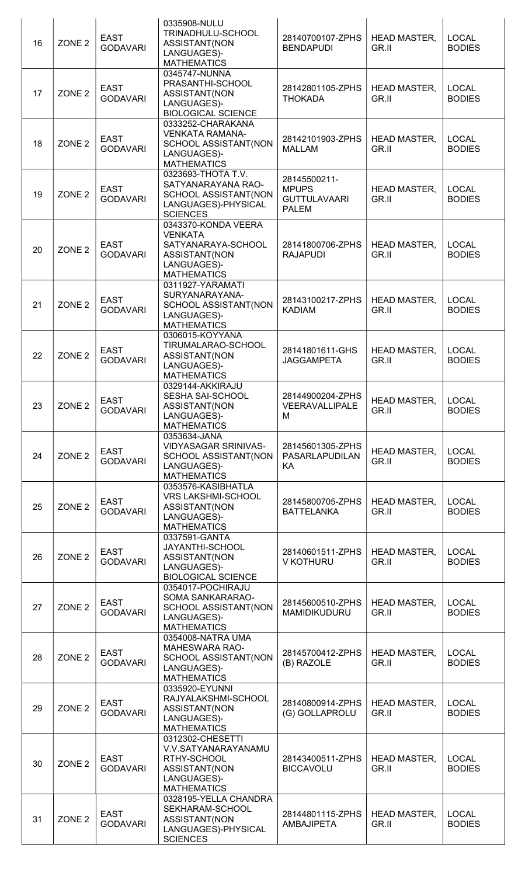| 16 | ZONE <sub>2</sub> | <b>EAST</b><br><b>GODAVARI</b> | 0335908-NULU<br>TRINADHULU-SCHOOL<br>ASSISTANT(NON<br>LANGUAGES)-<br><b>MATHEMATICS</b>                           | 28140700107-ZPHS<br><b>BENDAPUDI</b>                                | <b>HEAD MASTER,</b><br>GR.II | <b>LOCAL</b><br><b>BODIES</b> |
|----|-------------------|--------------------------------|-------------------------------------------------------------------------------------------------------------------|---------------------------------------------------------------------|------------------------------|-------------------------------|
| 17 | ZONE <sub>2</sub> | <b>EAST</b><br><b>GODAVARI</b> | 0345747-NUNNA<br>PRASANTHI-SCHOOL<br>ASSISTANT(NON<br>LANGUAGES)-<br><b>BIOLOGICAL SCIENCE</b>                    | 28142801105-ZPHS<br><b>THOKADA</b>                                  | <b>HEAD MASTER,</b><br>GR.II | <b>LOCAL</b><br><b>BODIES</b> |
| 18 | ZONE <sub>2</sub> | <b>EAST</b><br><b>GODAVARI</b> | 0333252-CHARAKANA<br><b>VENKATA RAMANA-</b><br>SCHOOL ASSISTANT(NON<br>LANGUAGES)-<br><b>MATHEMATICS</b>          | 28142101903-ZPHS<br><b>MALLAM</b>                                   | <b>HEAD MASTER,</b><br>GR.II | <b>LOCAL</b><br><b>BODIES</b> |
| 19 | ZONE <sub>2</sub> | <b>EAST</b><br><b>GODAVARI</b> | 0323693-THOTA T.V.<br>SATYANARAYANA RAO-<br>SCHOOL ASSISTANT(NON<br>LANGUAGES)-PHYSICAL<br><b>SCIENCES</b>        | 28145500211-<br><b>MPUPS</b><br><b>GUTTULAVAARI</b><br><b>PALEM</b> | <b>HEAD MASTER,</b><br>GR.II | <b>LOCAL</b><br><b>BODIES</b> |
| 20 | ZONE <sub>2</sub> | <b>EAST</b><br><b>GODAVARI</b> | 0343370-KONDA VEERA<br><b>VENKATA</b><br>SATYANARAYA-SCHOOL<br>ASSISTANT(NON<br>LANGUAGES)-<br><b>MATHEMATICS</b> | 28141800706-ZPHS<br><b>RAJAPUDI</b>                                 | <b>HEAD MASTER,</b><br>GR.II | <b>LOCAL</b><br><b>BODIES</b> |
| 21 | ZONE <sub>2</sub> | <b>EAST</b><br><b>GODAVARI</b> | 0311927-YARAMATI<br>SURYANARAYANA-<br>SCHOOL ASSISTANT(NON<br>LANGUAGES)-<br><b>MATHEMATICS</b>                   | 28143100217-ZPHS<br><b>KADIAM</b>                                   | <b>HEAD MASTER,</b><br>GR.II | <b>LOCAL</b><br><b>BODIES</b> |
| 22 | ZONE <sub>2</sub> | <b>EAST</b><br><b>GODAVARI</b> | 0306015-KOYYANA<br>TIRUMALARAO-SCHOOL<br>ASSISTANT(NON<br>LANGUAGES)-<br><b>MATHEMATICS</b>                       | 28141801611-GHS<br><b>JAGGAMPETA</b>                                | <b>HEAD MASTER,</b><br>GR.II | <b>LOCAL</b><br><b>BODIES</b> |
| 23 | ZONE <sub>2</sub> | <b>EAST</b><br><b>GODAVARI</b> | 0329144-AKKIRAJU<br><b>SESHA SAI-SCHOOL</b><br>ASSISTANT(NON<br>LANGUAGES)-<br><b>MATHEMATICS</b>                 | 28144900204-ZPHS<br>VEERAVALLIPALE<br>M                             | <b>HEAD MASTER,</b><br>GR.II | <b>LOCAL</b><br><b>BODIES</b> |
| 24 | ZONE <sub>2</sub> | <b>EAST</b><br><b>GODAVARI</b> | 0353634-JANA<br>VIDYASAGAR SRINIVAS-<br>SCHOOL ASSISTANT(NON<br>LANGUAGES)-<br><b>MATHEMATICS</b>                 | 28145601305-ZPHS<br>PASARLAPUDILAN<br>KA                            | <b>HEAD MASTER,</b><br>GR.II | <b>LOCAL</b><br><b>BODIES</b> |
| 25 | ZONE <sub>2</sub> | <b>EAST</b><br><b>GODAVARI</b> | 0353576-KASIBHATLA<br><b>VRS LAKSHMI-SCHOOL</b><br>ASSISTANT(NON<br>LANGUAGES)-<br><b>MATHEMATICS</b>             | 28145800705-ZPHS<br><b>BATTELANKA</b>                               | <b>HEAD MASTER,</b><br>GR.II | <b>LOCAL</b><br><b>BODIES</b> |
| 26 | ZONE <sub>2</sub> | <b>EAST</b><br><b>GODAVARI</b> | 0337591-GANTA<br>JAYANTHI-SCHOOL<br>ASSISTANT(NON<br>LANGUAGES)-<br><b>BIOLOGICAL SCIENCE</b>                     | 28140601511-ZPHS<br>V KOTHURU                                       | <b>HEAD MASTER,</b><br>GR.II | <b>LOCAL</b><br><b>BODIES</b> |
| 27 | ZONE <sub>2</sub> | <b>EAST</b><br><b>GODAVARI</b> | 0354017-POCHIRAJU<br>SOMA SANKARARAO-<br>SCHOOL ASSISTANT(NON<br>LANGUAGES)-<br><b>MATHEMATICS</b>                | 28145600510-ZPHS<br>MAMIDIKUDURU                                    | <b>HEAD MASTER,</b><br>GR.II | <b>LOCAL</b><br><b>BODIES</b> |
| 28 | ZONE <sub>2</sub> | <b>EAST</b><br><b>GODAVARI</b> | 0354008-NATRA UMA<br><b>MAHESWARA RAO-</b><br>SCHOOL ASSISTANT(NON<br>LANGUAGES)-<br><b>MATHEMATICS</b>           | 28145700412-ZPHS<br>(B) RAZOLE                                      | <b>HEAD MASTER,</b><br>GR.II | <b>LOCAL</b><br><b>BODIES</b> |
| 29 | ZONE <sub>2</sub> | <b>EAST</b><br><b>GODAVARI</b> | 0335920-EYUNNI<br>RAJYALAKSHMI-SCHOOL<br>ASSISTANT(NON<br>LANGUAGES)-<br><b>MATHEMATICS</b>                       | 28140800914-ZPHS<br>(G) GOLLAPROLU                                  | <b>HEAD MASTER,</b><br>GR.II | <b>LOCAL</b><br><b>BODIES</b> |
| 30 | ZONE <sub>2</sub> | <b>EAST</b><br><b>GODAVARI</b> | 0312302-CHESETTI<br>V.V.SATYANARAYANAMU<br>RTHY-SCHOOL<br>ASSISTANT(NON<br>LANGUAGES)-<br><b>MATHEMATICS</b>      | 28143400511-ZPHS<br><b>BICCAVOLU</b>                                | <b>HEAD MASTER,</b><br>GR.II | <b>LOCAL</b><br><b>BODIES</b> |
| 31 | ZONE <sub>2</sub> | <b>EAST</b><br><b>GODAVARI</b> | 0328195-YELLA CHANDRA<br>SEKHARAM-SCHOOL<br>ASSISTANT(NON<br>LANGUAGES)-PHYSICAL<br><b>SCIENCES</b>               | 28144801115-ZPHS<br><b>AMBAJIPETA</b>                               | <b>HEAD MASTER,</b><br>GR.II | <b>LOCAL</b><br><b>BODIES</b> |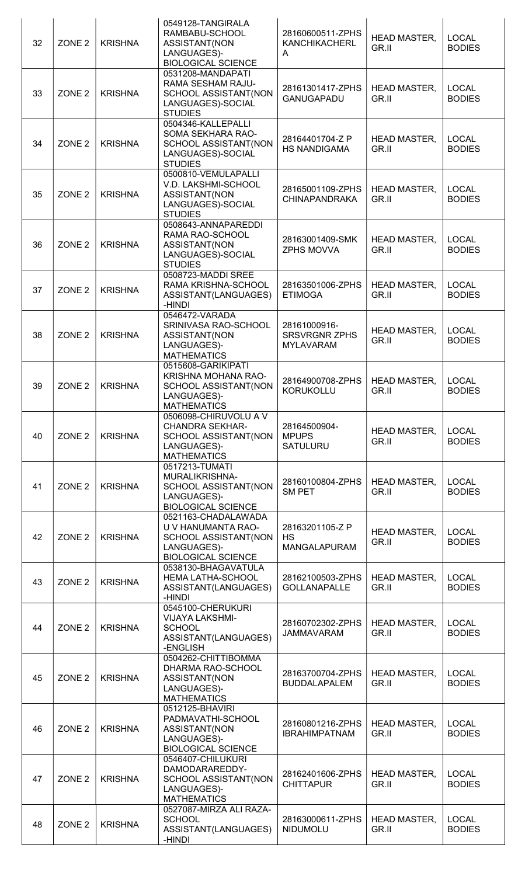| 32 | ZONE <sub>2</sub> | <b>KRISHNA</b> | 0549128-TANGIRALA<br>RAMBABU-SCHOOL<br>ASSISTANT(NON<br>LANGUAGES)-<br><b>BIOLOGICAL SCIENCE</b>              | 28160600511-ZPHS<br><b>KANCHIKACHERL</b><br>A            | <b>HEAD MASTER,</b><br>GR.II | <b>LOCAL</b><br><b>BODIES</b> |
|----|-------------------|----------------|---------------------------------------------------------------------------------------------------------------|----------------------------------------------------------|------------------------------|-------------------------------|
| 33 | ZONE <sub>2</sub> | <b>KRISHNA</b> | 0531208-MANDAPATI<br>RAMA SESHAM RAJU-<br>SCHOOL ASSISTANT(NON<br>LANGUAGES)-SOCIAL<br><b>STUDIES</b>         | 28161301417-ZPHS<br>GANUGAPADU                           | <b>HEAD MASTER,</b><br>GR.II | <b>LOCAL</b><br><b>BODIES</b> |
| 34 | ZONE <sub>2</sub> | <b>KRISHNA</b> | 0504346-KALLEPALLI<br>SOMA SEKHARA RAO-<br>SCHOOL ASSISTANT(NON<br>LANGUAGES)-SOCIAL<br><b>STUDIES</b>        | 28164401704-Z P<br><b>HS NANDIGAMA</b>                   | <b>HEAD MASTER,</b><br>GR.II | <b>LOCAL</b><br><b>BODIES</b> |
| 35 | ZONE <sub>2</sub> | <b>KRISHNA</b> | 0500810-VEMULAPALLI<br>V.D. LAKSHMI-SCHOOL<br>ASSISTANT(NON<br>LANGUAGES)-SOCIAL<br><b>STUDIES</b>            | 28165001109-ZPHS<br><b>CHINAPANDRAKA</b>                 | <b>HEAD MASTER,</b><br>GR.II | <b>LOCAL</b><br><b>BODIES</b> |
| 36 | ZONE <sub>2</sub> | <b>KRISHNA</b> | 0508643-ANNAPAREDDI<br>RAMA RAO-SCHOOL<br>ASSISTANT(NON<br>LANGUAGES)-SOCIAL<br><b>STUDIES</b>                | 28163001409-SMK<br>ZPHS MOVVA                            | <b>HEAD MASTER,</b><br>GR.II | <b>LOCAL</b><br><b>BODIES</b> |
| 37 | ZONE <sub>2</sub> | <b>KRISHNA</b> | 0508723-MADDI SREE<br>RAMA KRISHNA-SCHOOL<br>ASSISTANT(LANGUAGES)<br>-HINDI                                   | 28163501006-ZPHS<br><b>ETIMOGA</b>                       | <b>HEAD MASTER,</b><br>GR.II | <b>LOCAL</b><br><b>BODIES</b> |
| 38 | ZONE <sub>2</sub> | <b>KRISHNA</b> | 0546472-VARADA<br>SRINIVASA RAO-SCHOOL<br>ASSISTANT(NON<br>LANGUAGES)-<br><b>MATHEMATICS</b>                  | 28161000916-<br><b>SRSVRGNR ZPHS</b><br><b>MYLAVARAM</b> | <b>HEAD MASTER,</b><br>GR.II | <b>LOCAL</b><br><b>BODIES</b> |
| 39 | ZONE <sub>2</sub> | <b>KRISHNA</b> | 0515608-GARIKIPATI<br>KRISHNA MOHANA RAO-<br>SCHOOL ASSISTANT(NON<br>LANGUAGES)-<br><b>MATHEMATICS</b>        | 28164900708-ZPHS<br><b>KORUKOLLU</b>                     | <b>HEAD MASTER,</b><br>GR.II | <b>LOCAL</b><br><b>BODIES</b> |
| 40 | ZONE <sub>2</sub> | <b>KRISHNA</b> | 0506098-CHIRUVOLU A V<br><b>CHANDRA SEKHAR-</b><br>SCHOOL ASSISTANT(NON<br>LANGUAGES)-<br><b>MATHEMATICS</b>  | 28164500904-<br><b>MPUPS</b><br>SATULURU                 | <b>HEAD MASTER,</b><br>GR.II | <b>LOCAL</b><br><b>BODIES</b> |
| 41 | ZONE <sub>2</sub> | <b>KRISHNA</b> | 0517213-TUMATI<br>MURALIKRISHNA-<br>SCHOOL ASSISTANT(NON<br>LANGUAGES)-<br><b>BIOLOGICAL SCIENCE</b>          | 28160100804-ZPHS<br><b>SM PET</b>                        | <b>HEAD MASTER,</b><br>GR.II | <b>LOCAL</b><br><b>BODIES</b> |
| 42 | ZONE <sub>2</sub> | <b>KRISHNA</b> | 0521163-CHADALAWADA<br>U V HANUMANTA RAO-<br>SCHOOL ASSISTANT(NON<br>LANGUAGES)-<br><b>BIOLOGICAL SCIENCE</b> | 28163201105-Z P<br><b>HS</b><br><b>MANGALAPURAM</b>      | <b>HEAD MASTER,</b><br>GR.II | <b>LOCAL</b><br><b>BODIES</b> |
| 43 | ZONE <sub>2</sub> | <b>KRISHNA</b> | 0538130-BHAGAVATULA<br><b>HEMA LATHA-SCHOOL</b><br>ASSISTANT(LANGUAGES)<br>-HINDI                             | 28162100503-ZPHS<br><b>GOLLANAPALLE</b>                  | <b>HEAD MASTER,</b><br>GR.II | <b>LOCAL</b><br><b>BODIES</b> |
| 44 | ZONE <sub>2</sub> | <b>KRISHNA</b> | 0545100-CHERUKURI<br><b>VIJAYA LAKSHMI-</b><br><b>SCHOOL</b><br>ASSISTANT(LANGUAGES)<br>-ENGLISH              | 28160702302-ZPHS<br><b>JAMMAVARAM</b>                    | <b>HEAD MASTER,</b><br>GR.II | <b>LOCAL</b><br><b>BODIES</b> |
| 45 | ZONE <sub>2</sub> | <b>KRISHNA</b> | 0504262-CHITTIBOMMA<br>DHARMA RAO-SCHOOL<br>ASSISTANT(NON<br>LANGUAGES)-<br><b>MATHEMATICS</b>                | 28163700704-ZPHS<br><b>BUDDALAPALEM</b>                  | <b>HEAD MASTER,</b><br>GR.II | <b>LOCAL</b><br><b>BODIES</b> |
| 46 | ZONE <sub>2</sub> | <b>KRISHNA</b> | 0512125-BHAVIRI<br>PADMAVATHI-SCHOOL<br>ASSISTANT(NON<br>LANGUAGES)-<br><b>BIOLOGICAL SCIENCE</b>             | 28160801216-ZPHS<br><b>IBRAHIMPATNAM</b>                 | <b>HEAD MASTER,</b><br>GR.II | <b>LOCAL</b><br><b>BODIES</b> |
| 47 | ZONE <sub>2</sub> | <b>KRISHNA</b> | 0546407-CHILUKURI<br>DAMODARAREDDY-<br>SCHOOL ASSISTANT(NON<br>LANGUAGES)-<br><b>MATHEMATICS</b>              | 28162401606-ZPHS<br><b>CHITTAPUR</b>                     | <b>HEAD MASTER,</b><br>GR.II | <b>LOCAL</b><br><b>BODIES</b> |
| 48 | ZONE <sub>2</sub> | <b>KRISHNA</b> | 0527087-MIRZA ALI RAZA-<br><b>SCHOOL</b><br>ASSISTANT(LANGUAGES)<br>-HINDI                                    | 28163000611-ZPHS<br><b>NIDUMOLU</b>                      | <b>HEAD MASTER,</b><br>GR.II | <b>LOCAL</b><br><b>BODIES</b> |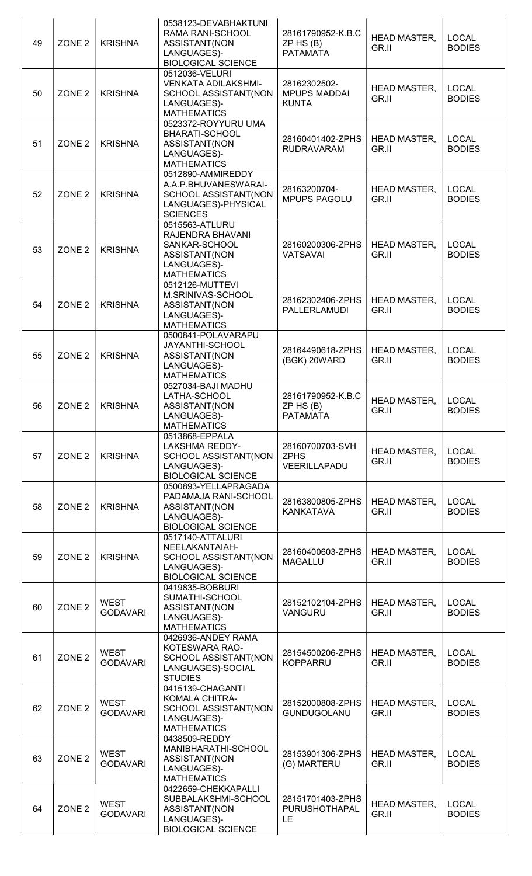| 49 | ZONE <sub>2</sub> | <b>KRISHNA</b>                 | 0538123-DEVABHAKTUNI<br>RAMA RANI-SCHOOL<br>ASSISTANT(NON<br>LANGUAGES)-<br><b>BIOLOGICAL SCIENCE</b>       | 28161790952-K.B.C<br>$ZP$ HS $(B)$<br><b>PATAMATA</b> | <b>HEAD MASTER,</b><br>GR.II | <b>LOCAL</b><br><b>BODIES</b> |
|----|-------------------|--------------------------------|-------------------------------------------------------------------------------------------------------------|-------------------------------------------------------|------------------------------|-------------------------------|
| 50 | ZONE <sub>2</sub> | <b>KRISHNA</b>                 | 0512036-VELURI<br><b>VENKATA ADILAKSHMI-</b><br>SCHOOL ASSISTANT(NON<br>LANGUAGES)-<br><b>MATHEMATICS</b>   | 28162302502-<br><b>MPUPS MADDAI</b><br><b>KUNTA</b>   | <b>HEAD MASTER,</b><br>GR.II | <b>LOCAL</b><br><b>BODIES</b> |
| 51 | ZONE <sub>2</sub> | <b>KRISHNA</b>                 | 0523372-ROYYURU UMA<br>BHARATI-SCHOOL<br>ASSISTANT(NON<br>LANGUAGES)-<br><b>MATHEMATICS</b>                 | 28160401402-ZPHS<br><b>RUDRAVARAM</b>                 | <b>HEAD MASTER,</b><br>GR.II | <b>LOCAL</b><br><b>BODIES</b> |
| 52 | ZONE <sub>2</sub> | <b>KRISHNA</b>                 | 0512890-AMMIREDDY<br>A.A.P.BHUVANESWARAI-<br>SCHOOL ASSISTANT(NON<br>LANGUAGES)-PHYSICAL<br><b>SCIENCES</b> | 28163200704-<br><b>MPUPS PAGOLU</b>                   | <b>HEAD MASTER,</b><br>GR.II | <b>LOCAL</b><br><b>BODIES</b> |
| 53 | ZONE <sub>2</sub> | <b>KRISHNA</b>                 | 0515563-ATLURU<br>RAJENDRA BHAVANI<br>SANKAR-SCHOOL<br>ASSISTANT(NON<br>LANGUAGES)-<br><b>MATHEMATICS</b>   | 28160200306-ZPHS<br><b>VATSAVAI</b>                   | <b>HEAD MASTER,</b><br>GR.II | <b>LOCAL</b><br><b>BODIES</b> |
| 54 | ZONE <sub>2</sub> | <b>KRISHNA</b>                 | 0512126-MUTTEVI<br>M.SRINIVAS-SCHOOL<br>ASSISTANT(NON<br>LANGUAGES)-<br><b>MATHEMATICS</b>                  | 28162302406-ZPHS<br>PALLERLAMUDI                      | <b>HEAD MASTER,</b><br>GR.II | <b>LOCAL</b><br><b>BODIES</b> |
| 55 | ZONE <sub>2</sub> | <b>KRISHNA</b>                 | 0500841-POLAVARAPU<br>JAYANTHI-SCHOOL<br>ASSISTANT(NON<br>LANGUAGES)-<br><b>MATHEMATICS</b>                 | 28164490618-ZPHS<br>(BGK) 20WARD                      | <b>HEAD MASTER,</b><br>GR.II | <b>LOCAL</b><br><b>BODIES</b> |
| 56 | ZONE <sub>2</sub> | <b>KRISHNA</b>                 | 0527034-BAJI MADHU<br>LATHA-SCHOOL<br>ASSISTANT(NON<br>LANGUAGES)-<br><b>MATHEMATICS</b>                    | 28161790952-K.B.C<br>$ZP$ HS $(B)$<br><b>PATAMATA</b> | <b>HEAD MASTER,</b><br>GR.II | <b>LOCAL</b><br><b>BODIES</b> |
| 57 | ZONE <sub>2</sub> | <b>KRISHNA</b>                 | 0513868-EPPALA<br><b>LAKSHMA REDDY-</b><br>SCHOOL ASSISTANT(NON<br>LANGUAGES)-<br><b>BIOLOGICAL SCIENCE</b> | 28160700703-SVH<br><b>ZPHS</b><br>VEERILLAPADU        | <b>HEAD MASTER,</b><br>GR.II | <b>LOCAL</b><br><b>BODIES</b> |
| 58 | ZONE <sub>2</sub> | <b>KRISHNA</b>                 | 0500893-YELLAPRAGADA<br>PADAMAJA RANI-SCHOOL<br>ASSISTANT(NON<br>LANGUAGES)-<br><b>BIOLOGICAL SCIENCE</b>   | 28163800805-ZPHS<br><b>KANKATAVA</b>                  | <b>HEAD MASTER,</b><br>GR.II | <b>LOCAL</b><br><b>BODIES</b> |
| 59 | ZONE <sub>2</sub> | <b>KRISHNA</b>                 | 0517140-ATTALURI<br>NEELAKANTAIAH-<br>SCHOOL ASSISTANT(NON<br>LANGUAGES)-<br><b>BIOLOGICAL SCIENCE</b>      | 28160400603-ZPHS<br><b>MAGALLU</b>                    | <b>HEAD MASTER,</b><br>GR.II | <b>LOCAL</b><br><b>BODIES</b> |
| 60 | ZONE <sub>2</sub> | <b>WEST</b><br><b>GODAVARI</b> | 0419835-BOBBURI<br>SUMATHI-SCHOOL<br>ASSISTANT(NON<br>LANGUAGES)-<br><b>MATHEMATICS</b>                     | 28152102104-ZPHS<br>VANGURU                           | <b>HEAD MASTER,</b><br>GR.II | <b>LOCAL</b><br><b>BODIES</b> |
| 61 | ZONE <sub>2</sub> | <b>WEST</b><br><b>GODAVARI</b> | 0426936-ANDEY RAMA<br>KOTESWARA RAO-<br>SCHOOL ASSISTANT(NON<br>LANGUAGES)-SOCIAL<br><b>STUDIES</b>         | 28154500206-ZPHS<br><b>KOPPARRU</b>                   | <b>HEAD MASTER,</b><br>GR.II | <b>LOCAL</b><br><b>BODIES</b> |
| 62 | ZONE <sub>2</sub> | <b>WEST</b><br><b>GODAVARI</b> | 0415139-CHAGANTI<br>KOMALA CHITRA-<br>SCHOOL ASSISTANT(NON<br>LANGUAGES)-<br><b>MATHEMATICS</b>             | 28152000808-ZPHS<br>GUNDUGOLANU                       | <b>HEAD MASTER,</b><br>GR.II | <b>LOCAL</b><br><b>BODIES</b> |
| 63 | ZONE <sub>2</sub> | <b>WEST</b><br><b>GODAVARI</b> | 0438509-REDDY<br>MANIBHARATHI-SCHOOL<br>ASSISTANT(NON<br>LANGUAGES)-<br><b>MATHEMATICS</b>                  | 28153901306-ZPHS<br>(G) MARTERU                       | <b>HEAD MASTER,</b><br>GR.II | <b>LOCAL</b><br><b>BODIES</b> |
| 64 | ZONE <sub>2</sub> | <b>WEST</b><br><b>GODAVARI</b> | 0422659-CHEKKAPALLI<br>SUBBALAKSHMI-SCHOOL<br>ASSISTANT(NON<br>LANGUAGES)-<br><b>BIOLOGICAL SCIENCE</b>     | 28151701403-ZPHS<br>PURUSHOTHAPAL<br>LE.              | HEAD MASTER,<br>GR.II        | <b>LOCAL</b><br><b>BODIES</b> |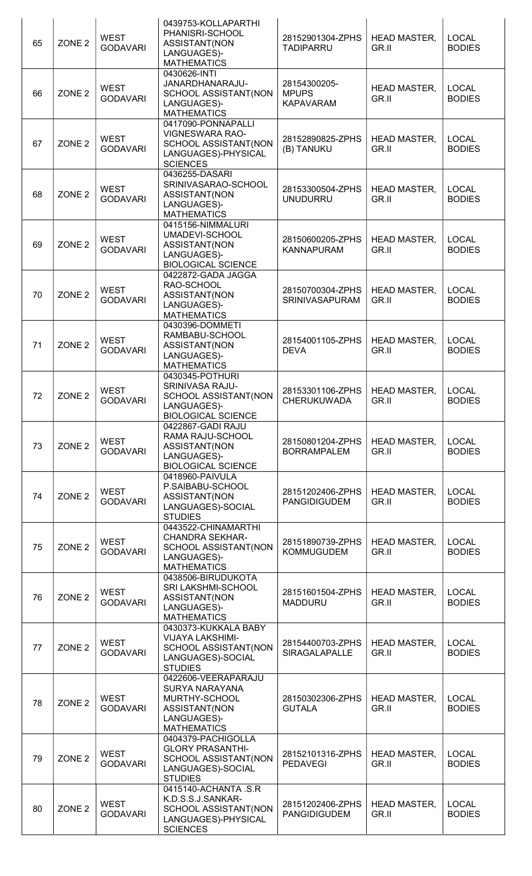| 65 | ZONE <sub>2</sub> | <b>WEST</b><br><b>GODAVARI</b> | 0439753-KOLLAPARTHI<br>PHANISRI-SCHOOL<br>ASSISTANT(NON<br>LANGUAGES)-<br><b>MATHEMATICS</b>                        | 28152901304-ZPHS<br><b>TADIPARRU</b>             | <b>HEAD MASTER,</b><br>GR.II | <b>LOCAL</b><br><b>BODIES</b> |
|----|-------------------|--------------------------------|---------------------------------------------------------------------------------------------------------------------|--------------------------------------------------|------------------------------|-------------------------------|
| 66 | ZONE <sub>2</sub> | <b>WEST</b><br><b>GODAVARI</b> | 0430626-INTI<br>JANARDHANARAJU-<br>SCHOOL ASSISTANT(NON<br>LANGUAGES)-<br><b>MATHEMATICS</b>                        | 28154300205-<br><b>MPUPS</b><br><b>KAPAVARAM</b> | <b>HEAD MASTER,</b><br>GR.II | <b>LOCAL</b><br><b>BODIES</b> |
| 67 | ZONE <sub>2</sub> | <b>WEST</b><br><b>GODAVARI</b> | 0417090-PONNAPALLI<br><b>VIGNESWARA RAO-</b><br>SCHOOL ASSISTANT(NON<br>LANGUAGES)-PHYSICAL<br><b>SCIENCES</b>      | 28152890825-ZPHS<br>(B) TANUKU                   | <b>HEAD MASTER,</b><br>GR.II | <b>LOCAL</b><br><b>BODIES</b> |
| 68 | ZONE <sub>2</sub> | <b>WEST</b><br><b>GODAVARI</b> | 0436255-DASARI<br>SRINIVASARAO-SCHOOL<br>ASSISTANT(NON<br>LANGUAGES)-<br><b>MATHEMATICS</b>                         | 28153300504-ZPHS<br><b>UNUDURRU</b>              | <b>HEAD MASTER,</b><br>GR.II | <b>LOCAL</b><br><b>BODIES</b> |
| 69 | ZONE <sub>2</sub> | <b>WEST</b><br><b>GODAVARI</b> | 0415156-NIMMALURI<br>UMADEVI-SCHOOL<br>ASSISTANT(NON<br>LANGUAGES)-<br><b>BIOLOGICAL SCIENCE</b>                    | 28150600205-ZPHS<br><b>KANNAPURAM</b>            | <b>HEAD MASTER,</b><br>GR.II | <b>LOCAL</b><br><b>BODIES</b> |
| 70 | ZONE <sub>2</sub> | <b>WEST</b><br><b>GODAVARI</b> | 0422872-GADA JAGGA<br>RAO-SCHOOL<br>ASSISTANT(NON<br>LANGUAGES)-<br><b>MATHEMATICS</b>                              | 28150700304-ZPHS<br>SRINIVASAPURAM               | <b>HEAD MASTER,</b><br>GR.II | <b>LOCAL</b><br><b>BODIES</b> |
| 71 | ZONE <sub>2</sub> | <b>WEST</b><br><b>GODAVARI</b> | 0430396-DOMMETI<br>RAMBABU-SCHOOL<br>ASSISTANT(NON<br>LANGUAGES)-<br><b>MATHEMATICS</b>                             | 28154001105-ZPHS<br><b>DEVA</b>                  | <b>HEAD MASTER,</b><br>GR.II | <b>LOCAL</b><br><b>BODIES</b> |
| 72 | ZONE <sub>2</sub> | <b>WEST</b><br><b>GODAVARI</b> | 0430345-POTHURI<br>SRINIVASA RAJU-<br>SCHOOL ASSISTANT(NON<br>LANGUAGES)-<br><b>BIOLOGICAL SCIENCE</b>              | 28153301106-ZPHS<br><b>CHERUKUWADA</b>           | <b>HEAD MASTER,</b><br>GR.II | <b>LOCAL</b><br><b>BODIES</b> |
| 73 | ZONE <sub>2</sub> | <b>WEST</b><br><b>GODAVARI</b> | 0422867-GADI RAJU<br>RAMA RAJU-SCHOOL<br>ASSISTANT(NON<br>LANGUAGES)-<br><b>BIOLOGICAL SCIENCE</b>                  | 28150801204-ZPHS<br><b>BORRAMPALEM</b>           | <b>HEAD MASTER,</b><br>GR.II | <b>LOCAL</b><br><b>BODIES</b> |
| 74 | ZONE <sub>2</sub> | <b>WEST</b><br><b>GODAVARI</b> | 0418960-PAIVULA<br>P.SAIBABU-SCHOOL<br>ASSISTANT(NON<br>LANGUAGES)-SOCIAL<br><b>STUDIES</b>                         | 28151202406-ZPHS<br><b>PANGIDIGUDEM</b>          | <b>HEAD MASTER,</b><br>GR.II | <b>LOCAL</b><br><b>BODIES</b> |
| 75 | ZONE <sub>2</sub> | <b>WEST</b><br><b>GODAVARI</b> | 0443522-CHINAMARTHI<br><b>CHANDRA SEKHAR-</b><br>SCHOOL ASSISTANT(NON<br>LANGUAGES)-<br><b>MATHEMATICS</b>          | 28151890739-ZPHS<br><b>KOMMUGUDEM</b>            | <b>HEAD MASTER,</b><br>GR.II | <b>LOCAL</b><br><b>BODIES</b> |
| 76 | ZONE <sub>2</sub> | <b>WEST</b><br><b>GODAVARI</b> | 0438506-BIRUDUKOTA<br>SRI LAKSHMI-SCHOOL<br>ASSISTANT(NON<br>LANGUAGES)-<br><b>MATHEMATICS</b>                      | 28151601504-ZPHS<br><b>MADDURU</b>               | <b>HEAD MASTER,</b><br>GR.II | <b>LOCAL</b><br><b>BODIES</b> |
| 77 | ZONE <sub>2</sub> | <b>WEST</b><br><b>GODAVARI</b> | 0430373-KUKKALA BABY<br>VIJAYA LAKSHIMI-<br>SCHOOL ASSISTANT(NON<br>LANGUAGES)-SOCIAL<br><b>STUDIES</b>             | 28154400703-ZPHS<br>SIRAGALAPALLE                | <b>HEAD MASTER,</b><br>GR.II | <b>LOCAL</b><br><b>BODIES</b> |
| 78 | ZONE <sub>2</sub> | <b>WEST</b><br><b>GODAVARI</b> | 0422606-VEERAPARAJU<br><b>SURYA NARAYANA</b><br>MURTHY-SCHOOL<br>ASSISTANT(NON<br>LANGUAGES)-<br><b>MATHEMATICS</b> | 28150302306-ZPHS<br><b>GUTALA</b>                | <b>HEAD MASTER,</b><br>GR.II | <b>LOCAL</b><br><b>BODIES</b> |
| 79 | ZONE <sub>2</sub> | <b>WEST</b><br><b>GODAVARI</b> | 0404379-PACHIGOLLA<br><b>GLORY PRASANTHI-</b><br>SCHOOL ASSISTANT(NON<br>LANGUAGES)-SOCIAL<br><b>STUDIES</b>        | 28152101316-ZPHS<br><b>PEDAVEGI</b>              | <b>HEAD MASTER,</b><br>GR.II | <b>LOCAL</b><br><b>BODIES</b> |
| 80 | ZONE <sub>2</sub> | <b>WEST</b><br><b>GODAVARI</b> | 0415140-ACHANTA .S.R<br>K.D.S.S.J.SANKAR-<br>SCHOOL ASSISTANT(NON<br>LANGUAGES)-PHYSICAL<br><b>SCIENCES</b>         | 28151202406-ZPHS<br><b>PANGIDIGUDEM</b>          | <b>HEAD MASTER,</b><br>GR.II | <b>LOCAL</b><br><b>BODIES</b> |